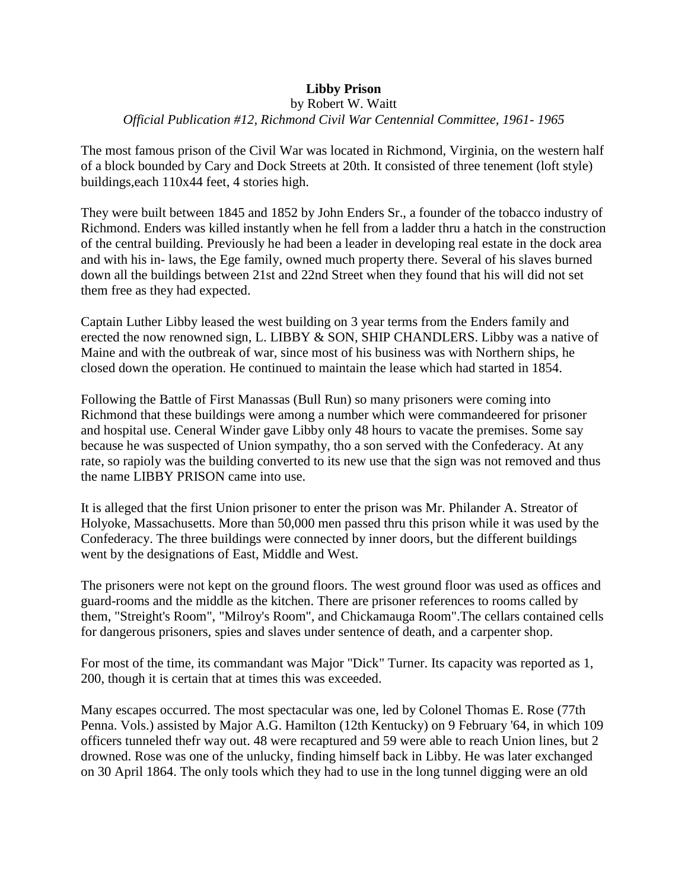# **Libby Prison**

#### by Robert W. Waitt *Official Publication #12, Richmond Civil War Centennial Committee, 1961- 1965*

The most famous prison of the Civil War was located in Richmond, Virginia, on the western half of a block bounded by Cary and Dock Streets at 20th. It consisted of three tenement (loft style) buildings,each 110x44 feet, 4 stories high.

They were built between 1845 and 1852 by John Enders Sr., a founder of the tobacco industry of Richmond. Enders was killed instantly when he fell from a ladder thru a hatch in the construction of the central building. Previously he had been a leader in developing real estate in the dock area and with his in- laws, the Ege family, owned much property there. Several of his slaves burned down all the buildings between 21st and 22nd Street when they found that his will did not set them free as they had expected.

Captain Luther Libby leased the west building on 3 year terms from the Enders family and erected the now renowned sign, L. LIBBY & SON, SHIP CHANDLERS. Libby was a native of Maine and with the outbreak of war, since most of his business was with Northern ships, he closed down the operation. He continued to maintain the lease which had started in 1854.

Following the Battle of First Manassas (Bull Run) so many prisoners were coming into Richmond that these buildings were among a number which were commandeered for prisoner and hospital use. Ceneral Winder gave Libby only 48 hours to vacate the premises. Some say because he was suspected of Union sympathy, tho a son served with the Confederacy. At any rate, so rapioly was the building converted to its new use that the sign was not removed and thus the name LIBBY PRISON came into use.

It is alleged that the first Union prisoner to enter the prison was Mr. Philander A. Streator of Holyoke, Massachusetts. More than 50,000 men passed thru this prison while it was used by the Confederacy. The three buildings were connected by inner doors, but the different buildings went by the designations of East, Middle and West.

The prisoners were not kept on the ground floors. The west ground floor was used as offices and guard-rooms and the middle as the kitchen. There are prisoner references to rooms called by them, "Streight's Room", "Milroy's Room", and Chickamauga Room".The cellars contained cells for dangerous prisoners, spies and slaves under sentence of death, and a carpenter shop.

For most of the time, its commandant was Major "Dick" Turner. Its capacity was reported as 1, 200, though it is certain that at times this was exceeded.

Many escapes occurred. The most spectacular was one, led by Colonel Thomas E. Rose (77th Penna. Vols.) assisted by Major A.G. Hamilton (12th Kentucky) on 9 February '64, in which 109 officers tunneled thefr way out. 48 were recaptured and 59 were able to reach Union lines, but 2 drowned. Rose was one of the unlucky, finding himself back in Libby. He was later exchanged on 30 April 1864. The only tools which they had to use in the long tunnel digging were an old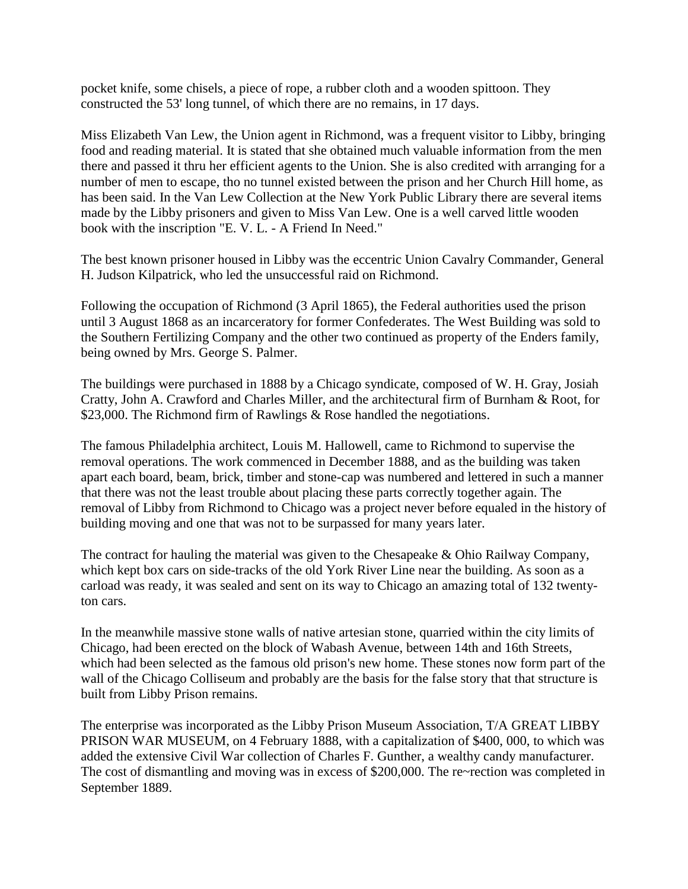pocket knife, some chisels, a piece of rope, a rubber cloth and a wooden spittoon. They constructed the 53' long tunnel, of which there are no remains, in 17 days.

Miss Elizabeth Van Lew, the Union agent in Richmond, was a frequent visitor to Libby, bringing food and reading material. It is stated that she obtained much valuable information from the men there and passed it thru her efficient agents to the Union. She is also credited with arranging for a number of men to escape, tho no tunnel existed between the prison and her Church Hill home, as has been said. In the Van Lew Collection at the New York Public Library there are several items made by the Libby prisoners and given to Miss Van Lew. One is a well carved little wooden book with the inscription "E. V. L. - A Friend In Need."

The best known prisoner housed in Libby was the eccentric Union Cavalry Commander, General H. Judson Kilpatrick, who led the unsuccessful raid on Richmond.

Following the occupation of Richmond (3 April 1865), the Federal authorities used the prison until 3 August 1868 as an incarceratory for former Confederates. The West Building was sold to the Southern Fertilizing Company and the other two continued as property of the Enders family, being owned by Mrs. George S. Palmer.

The buildings were purchased in 1888 by a Chicago syndicate, composed of W. H. Gray, Josiah Cratty, John A. Crawford and Charles Miller, and the architectural firm of Burnham & Root, for \$23,000. The Richmond firm of Rawlings & Rose handled the negotiations.

The famous Philadelphia architect, Louis M. Hallowell, came to Richmond to supervise the removal operations. The work commenced in December 1888, and as the building was taken apart each board, beam, brick, timber and stone-cap was numbered and lettered in such a manner that there was not the least trouble about placing these parts correctly together again. The removal of Libby from Richmond to Chicago was a project never before equaled in the history of building moving and one that was not to be surpassed for many years later.

The contract for hauling the material was given to the Chesapeake & Ohio Railway Company, which kept box cars on side-tracks of the old York River Line near the building. As soon as a carload was ready, it was sealed and sent on its way to Chicago an amazing total of 132 twentyton cars.

In the meanwhile massive stone walls of native artesian stone, quarried within the city limits of Chicago, had been erected on the block of Wabash Avenue, between 14th and 16th Streets, which had been selected as the famous old prison's new home. These stones now form part of the wall of the Chicago Colliseum and probably are the basis for the false story that that structure is built from Libby Prison remains.

The enterprise was incorporated as the Libby Prison Museum Association, T/A GREAT LIBBY PRISON WAR MUSEUM, on 4 February 1888, with a capitalization of \$400, 000, to which was added the extensive Civil War collection of Charles F. Gunther, a wealthy candy manufacturer. The cost of dismantling and moving was in excess of \$200,000. The re~rection was completed in September 1889.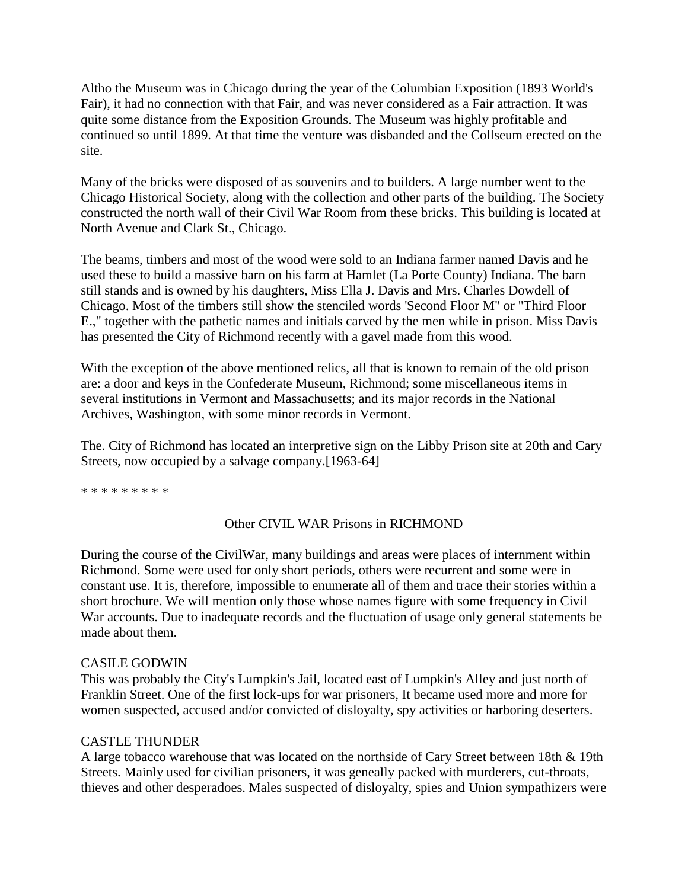Altho the Museum was in Chicago during the year of the Columbian Exposition (1893 World's Fair), it had no connection with that Fair, and was never considered as a Fair attraction. It was quite some distance from the Exposition Grounds. The Museum was highly profitable and continued so until 1899. At that time the venture was disbanded and the Collseum erected on the site.

Many of the bricks were disposed of as souvenirs and to builders. A large number went to the Chicago Historical Society, along with the collection and other parts of the building. The Society constructed the north wall of their Civil War Room from these bricks. This building is located at North Avenue and Clark St., Chicago.

The beams, timbers and most of the wood were sold to an Indiana farmer named Davis and he used these to build a massive barn on his farm at Hamlet (La Porte County) Indiana. The barn still stands and is owned by his daughters, Miss Ella J. Davis and Mrs. Charles Dowdell of Chicago. Most of the timbers still show the stenciled words 'Second Floor M" or "Third Floor E.," together with the pathetic names and initials carved by the men while in prison. Miss Davis has presented the City of Richmond recently with a gavel made from this wood.

With the exception of the above mentioned relics, all that is known to remain of the old prison are: a door and keys in the Confederate Museum, Richmond; some miscellaneous items in several institutions in Vermont and Massachusetts; and its major records in the National Archives, Washington, with some minor records in Vermont.

The. City of Richmond has located an interpretive sign on the Libby Prison site at 20th and Cary Streets, now occupied by a salvage company.[1963-64]

\* \* \* \* \* \* \* \* \*

# Other CIVIL WAR Prisons in RICHMOND

During the course of the CivilWar, many buildings and areas were places of internment within Richmond. Some were used for only short periods, others were recurrent and some were in constant use. It is, therefore, impossible to enumerate all of them and trace their stories within a short brochure. We will mention only those whose names figure with some frequency in Civil War accounts. Due to inadequate records and the fluctuation of usage only general statements be made about them.

### CASILE GODWIN

This was probably the City's Lumpkin's Jail, located east of Lumpkin's Alley and just north of Franklin Street. One of the first lock-ups for war prisoners, It became used more and more for women suspected, accused and/or convicted of disloyalty, spy activities or harboring deserters.

### CASTLE THUNDER

A large tobacco warehouse that was located on the northside of Cary Street between 18th & 19th Streets. Mainly used for civilian prisoners, it was geneally packed with murderers, cut-throats, thieves and other desperadoes. Males suspected of disloyalty, spies and Union sympathizers were